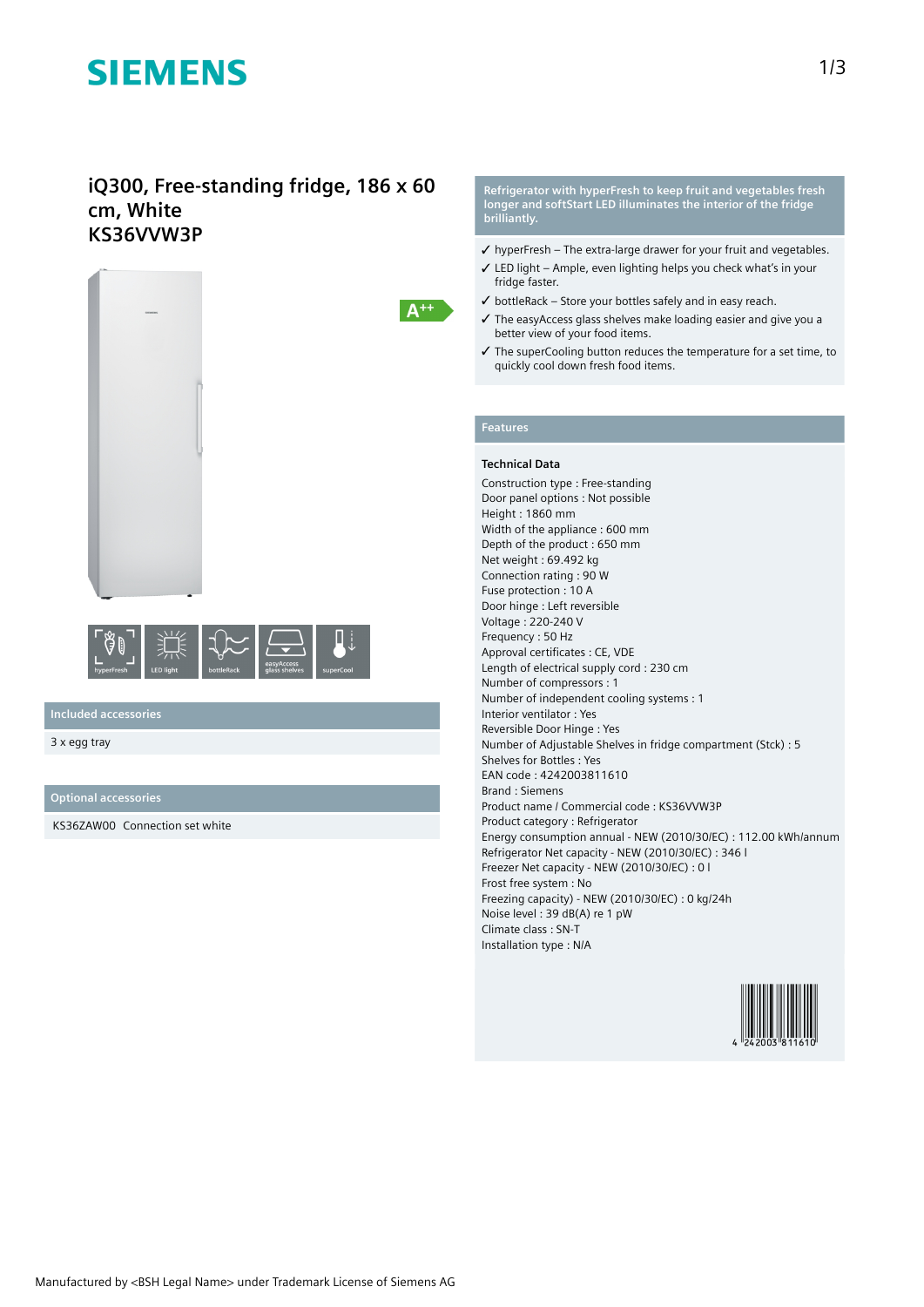# **SIEMENS**

### **iQ300, Free-standing fridge, 186 x 60 cm, White KS36VVW3P**





**Included accessories**

3 x egg tray

**Optional accessories**

KS36ZAW00 Connection set white

**Refrigerator with hyperFresh to keep fruit and vegetables fresh longer and softStart LED illuminates the interior of the fridge brilliantly.**

- ✓ hyperFresh The extra-large drawer for your fruit and vegetables.
- ✓ LED light Ample, even lighting helps you check what's in your fridge faster.
- $\checkmark$  bottleRack Store your bottles safely and in easy reach.
- ✓ The easyAccess glass shelves make loading easier and give you a better view of your food items.
- ✓ The superCooling button reduces the temperature for a set time, to quickly cool down fresh food items.

### **Features**

#### **Technical Data**

Construction type : Free-standing Door panel options : Not possible Height : 1860 mm Width of the appliance : 600 mm Depth of the product : 650 mm Net weight : 69.492 kg Connection rating : 90 W Fuse protection : 10 A Door hinge : Left reversible Voltage : 220-240 V Frequency : 50 Hz Approval certificates : CE, VDE Length of electrical supply cord : 230 cm Number of compressors : 1 Number of independent cooling systems : 1 Interior ventilator : Yes Reversible Door Hinge : Yes Number of Adjustable Shelves in fridge compartment (Stck) : 5 Shelves for Bottles : Yes EAN code : 4242003811610 Brand : Siemens Product name / Commercial code : KS36VVW3P Product category : Refrigerator Energy consumption annual - NEW (2010/30/EC) : 112.00 kWh/annum Refrigerator Net capacity - NEW (2010/30/EC) : 346 l Freezer Net capacity - NEW (2010/30/EC) : 0 l Frost free system : No Freezing capacity) - NEW (2010/30/EC) : 0 kg/24h Noise level : 39 dB(A) re 1 pW Climate class : SN-T Installation type : N/A

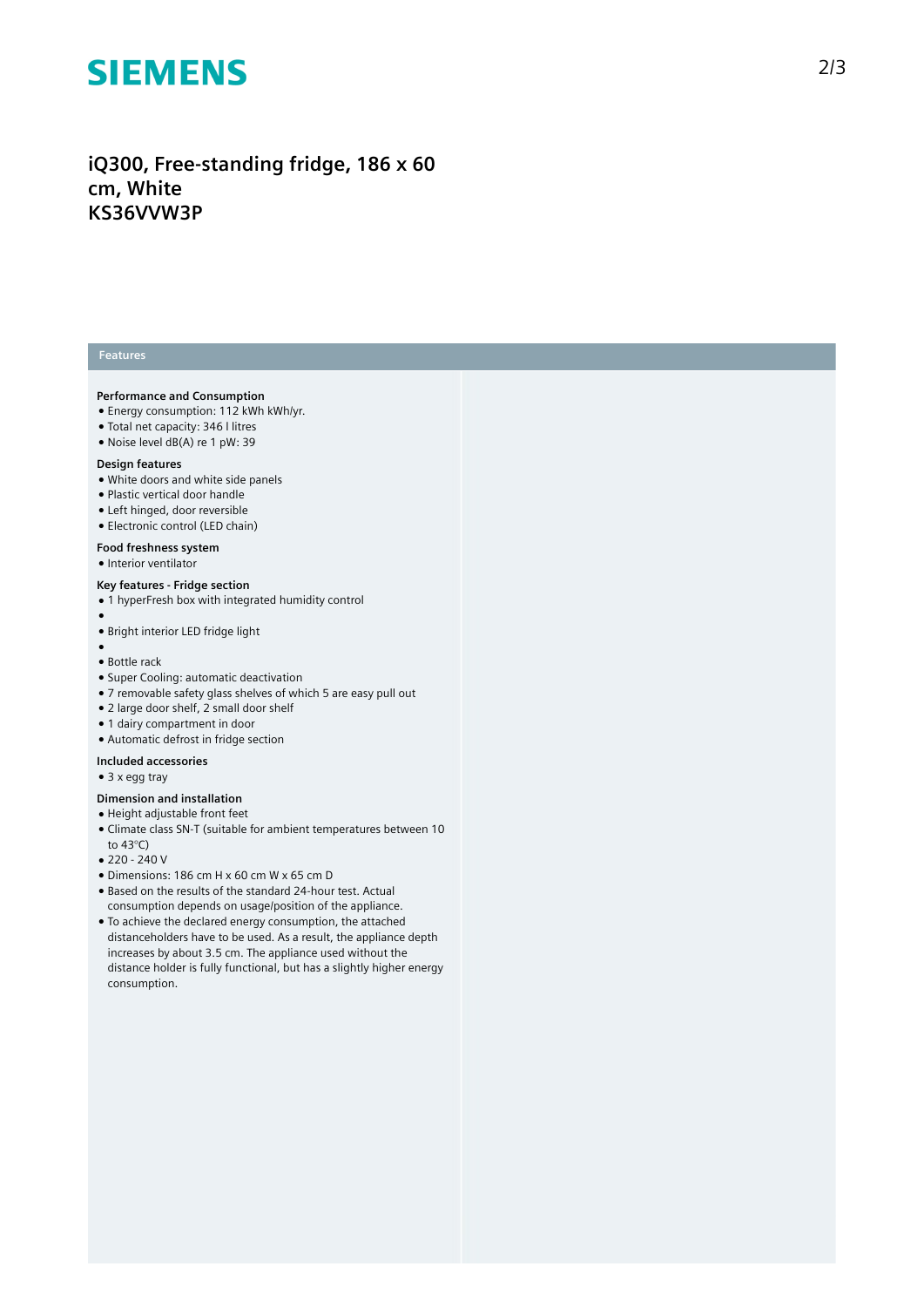# **SIEMENS**

## iQ300, Free-standing fridge, 186 x 60 **c m , W h i t e K S 3 6 VV W 3 P**

#### **Features**

#### Performance and Consumption

- Energy consumption: 112 kWh kWh/yr.
- Total net capacity: 346 I litres
- Noise level dB(A) re 1 pW: 39

#### Design features

- White doors and white side panels
- · Plastic vertical door handle
- Left hinged, door reversible
- Electronic control (LED chain)

### Food freshness system

• Interior ventilator

#### **Key features - Fridge section**

- 1 hyperFresh box with integrated humidity control
- 
- ●● Bright interior LED fridge light
- ●<br>● Bottle rack
- Super Cooling: automatic deactivation
- 7 removable safety glass shelves of which 5 are easy pull out
- 2 large door shelf, 2 small door shelf
- 1 dairy compartment in door
- Automatic defrost in fridge section

#### Included accessories

• 3 x egg tray

#### Dimension and installation

- $\bullet$  Height adjustable front feet
- Climate class SN-T (suitable for ambient temperatures between 10 to 43°C)
- 220 240 V
- Dimensions: 186 cm H x 60 cm W x 65 cm D
- Based on the results of the standard 24-hour test. Actual consumption depends on usage/position of the applianc e .
- To achieve the declared energy consumption, the attached distanceholders have to be used. As a result, the appliance depth increases by about 3.5 cm. The appliance used without the distance holder is fully functional, but has a slightly higher energy consumption.